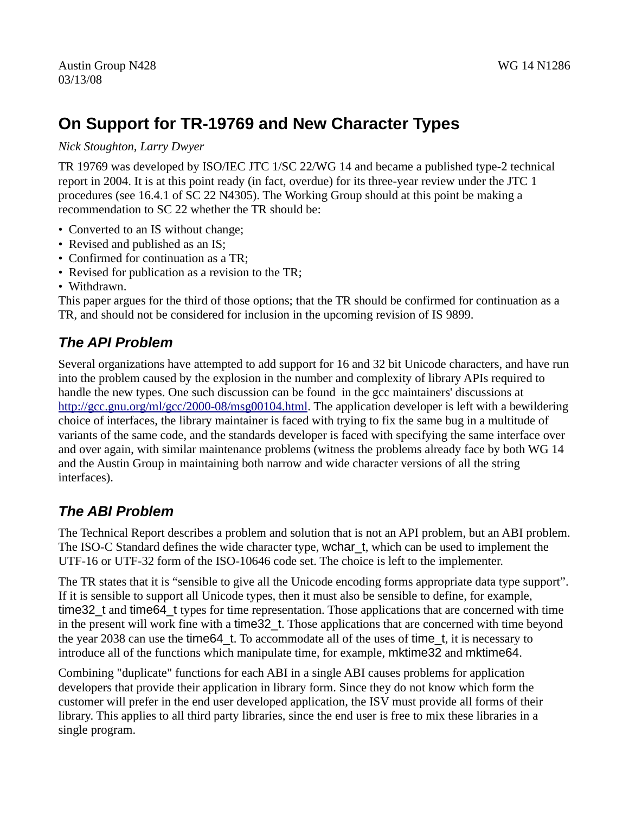# **On Support for TR-19769 and New Character Types**

*Nick Stoughton, Larry Dwyer*

TR 19769 was developed by ISO/IEC JTC 1/SC 22/WG 14 and became a published type-2 technical report in 2004. It is at this point ready (in fact, overdue) for its three-year review under the JTC 1 procedures (see 16.4.1 of SC 22 N4305). The Working Group should at this point be making a recommendation to SC 22 whether the TR should be:

- Converted to an IS without change;
- Revised and published as an IS;
- Confirmed for continuation as a TR;
- Revised for publication as a revision to the TR;
- Withdrawn.

This paper argues for the third of those options; that the TR should be confirmed for continuation as a TR, and should not be considered for inclusion in the upcoming revision of IS 9899.

#### *The API Problem*

Several organizations have attempted to add support for 16 and 32 bit Unicode characters, and have run into the problem caused by the explosion in the number and complexity of library APIs required to handle the new types. One such discussion can be found in the gcc maintainers' discussions at [http://gcc.gnu.org/ml/gcc/2000-08/msg00104.html.](http://gcc.gnu.org/ml/gcc/2000-08/msg00104.html) The application developer is left with a bewildering choice of interfaces, the library maintainer is faced with trying to fix the same bug in a multitude of variants of the same code, and the standards developer is faced with specifying the same interface over and over again, with similar maintenance problems (witness the problems already face by both WG 14 and the Austin Group in maintaining both narrow and wide character versions of all the string interfaces).

### *The ABI Problem*

The Technical Report describes a problem and solution that is not an API problem, but an ABI problem. The ISO-C Standard defines the wide character type, wchar t, which can be used to implement the UTF-16 or UTF-32 form of the ISO-10646 code set. The choice is left to the implementer.

The TR states that it is "sensible to give all the Unicode encoding forms appropriate data type support". If it is sensible to support all Unicode types, then it must also be sensible to define, for example, time32 t and time64 t types for time representation. Those applications that are concerned with time in the present will work fine with a time 32 t. Those applications that are concerned with time beyond the year 2038 can use the time64\_t. To accommodate all of the uses of time\_t, it is necessary to introduce all of the functions which manipulate time, for example, mktime32 and mktime64.

Combining "duplicate" functions for each ABI in a single ABI causes problems for application developers that provide their application in library form. Since they do not know which form the customer will prefer in the end user developed application, the ISV must provide all forms of their library. This applies to all third party libraries, since the end user is free to mix these libraries in a single program.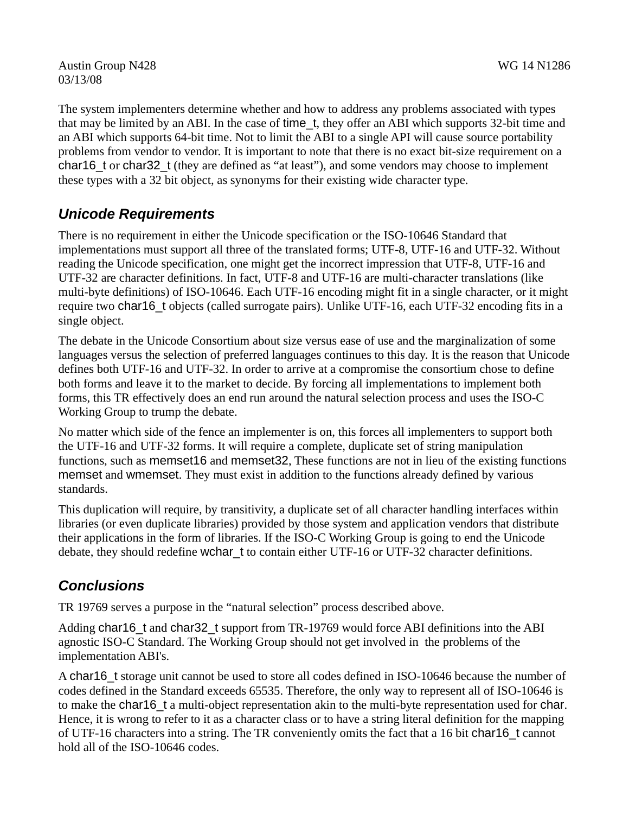Austin Group N428 WG 14 N1286 03/13/08

The system implementers determine whether and how to address any problems associated with types that may be limited by an ABI. In the case of time\_t, they offer an ABI which supports 32-bit time and an ABI which supports 64-bit time. Not to limit the ABI to a single API will cause source portability problems from vendor to vendor. It is important to note that there is no exact bit-size requirement on a char16 t or char32 t (they are defined as "at least"), and some vendors may choose to implement these types with a 32 bit object, as synonyms for their existing wide character type.

## *Unicode Requirements*

There is no requirement in either the Unicode specification or the ISO-10646 Standard that implementations must support all three of the translated forms; UTF-8, UTF-16 and UTF-32. Without reading the Unicode specification, one might get the incorrect impression that UTF-8, UTF-16 and UTF-32 are character definitions. In fact, UTF-8 and UTF-16 are multi-character translations (like multi-byte definitions) of ISO-10646. Each UTF-16 encoding might fit in a single character, or it might require two char16 t objects (called surrogate pairs). Unlike UTF-16, each UTF-32 encoding fits in a single object.

The debate in the Unicode Consortium about size versus ease of use and the marginalization of some languages versus the selection of preferred languages continues to this day. It is the reason that Unicode defines both UTF-16 and UTF-32. In order to arrive at a compromise the consortium chose to define both forms and leave it to the market to decide. By forcing all implementations to implement both forms, this TR effectively does an end run around the natural selection process and uses the ISO-C Working Group to trump the debate.

No matter which side of the fence an implementer is on, this forces all implementers to support both the UTF-16 and UTF-32 forms. It will require a complete, duplicate set of string manipulation functions, such as memset16 and memset32, These functions are not in lieu of the existing functions memset and wmemset. They must exist in addition to the functions already defined by various standards.

This duplication will require, by transitivity, a duplicate set of all character handling interfaces within libraries (or even duplicate libraries) provided by those system and application vendors that distribute their applications in the form of libraries. If the ISO-C Working Group is going to end the Unicode debate, they should redefine wchar t to contain either UTF-16 or UTF-32 character definitions.

### *Conclusions*

TR 19769 serves a purpose in the "natural selection" process described above.

Adding char16 t and char32 t support from TR-19769 would force ABI definitions into the ABI agnostic ISO-C Standard. The Working Group should not get involved in the problems of the implementation ABI's.

A char16 t storage unit cannot be used to store all codes defined in ISO-10646 because the number of codes defined in the Standard exceeds 65535. Therefore, the only way to represent all of ISO-10646 is to make the char16 t a multi-object representation akin to the multi-byte representation used for char. Hence, it is wrong to refer to it as a character class or to have a string literal definition for the mapping of UTF-16 characters into a string. The TR conveniently omits the fact that a 16 bit char16\_t cannot hold all of the ISO-10646 codes.